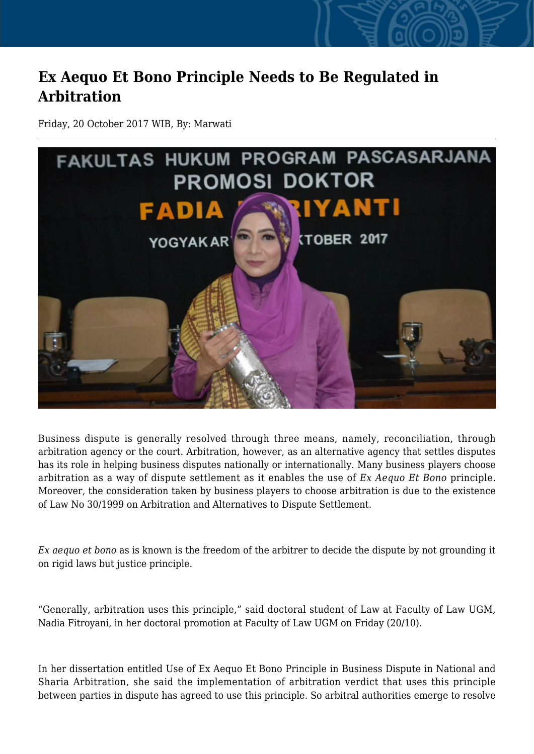## **Ex Aequo Et Bono Principle Needs to Be Regulated in Arbitration**

Friday, 20 October 2017 WIB, By: Marwati



Business dispute is generally resolved through three means, namely, reconciliation, through arbitration agency or the court. Arbitration, however, as an alternative agency that settles disputes has its role in helping business disputes nationally or internationally. Many business players choose arbitration as a way of dispute settlement as it enables the use of *Ex Aequo Et Bono* principle. Moreover, the consideration taken by business players to choose arbitration is due to the existence of Law No 30/1999 on Arbitration and Alternatives to Dispute Settlement.

*Ex aequo et bono* as is known is the freedom of the arbitrer to decide the dispute by not grounding it on rigid laws but justice principle.

"Generally, arbitration uses this principle," said doctoral student of Law at Faculty of Law UGM, Nadia Fitroyani, in her doctoral promotion at Faculty of Law UGM on Friday (20/10).

In her dissertation entitled Use of Ex Aequo Et Bono Principle in Business Dispute in National and Sharia Arbitration, she said the implementation of arbitration verdict that uses this principle between parties in dispute has agreed to use this principle. So arbitral authorities emerge to resolve